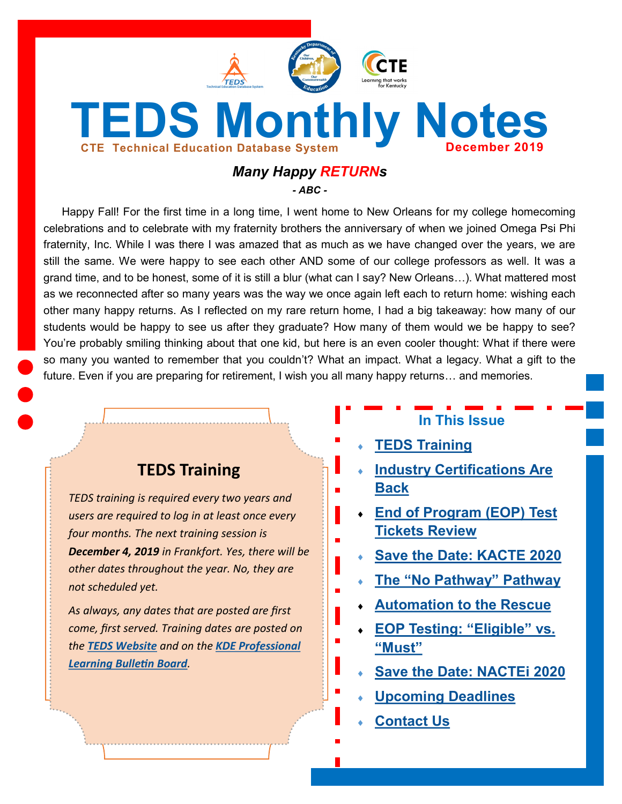<span id="page-0-0"></span>

# *Many Happy RETURNs*

*- ABC -*

Happy Fall! For the first time in a long time, I went home to New Orleans for my college homecoming celebrations and to celebrate with my fraternity brothers the anniversary of when we joined Omega Psi Phi fraternity, Inc. While I was there I was amazed that as much as we have changed over the years, we are still the same. We were happy to see each other AND some of our college professors as well. It was a grand time, and to be honest, some of it is still a blur (what can I say? New Orleans…). What mattered most as we reconnected after so many years was the way we once again left each to return home: wishing each other many happy returns. As I reflected on my rare return home, I had a big takeaway: how many of our students would be happy to see us after they graduate? How many of them would we be happy to see? You're probably smiling thinking about that one kid, but here is an even cooler thought: What if there were so many you wanted to remember that you couldn't? What an impact. What a legacy. What a gift to the future. Even if you are preparing for retirement, I wish you all many happy returns… and memories.

# **TEDS Training**

*TEDS training is required every two years and users are required to log in at least once every four months. The next training session is December 4, 2019 in Frankfort. Yes, there will be other dates throughout the year. No, they are not scheduled yet.* 

*As always, any dates that are posted are first come, first served. Training dates are posted on the [TEDS Website](https://education.ky.gov/CTE/teds/Pages/default.aspx) and on the [KDE Professional](https://applications.education.ky.gov/PLBB/Home/PLBBHome)  [Learning Bulletin Board](https://applications.education.ky.gov/PLBB/Home/PLBBHome).*

# **In This Issue**

- **[TEDS Training](#page-0-0)**
- **[Industry Certifications Are](#page-1-0)  [Back](#page-1-0)**
- **[End of Program \(EOP\) Test](#page-1-0)  [Tickets Review](#page-1-0)**
- **[Save the Date: KACTE 2020](#page-1-0)**
- **The "[No Pathway](#page-2-0)" Pathway**
- **[Automation to the Rescue](#page-2-0)**
- **[EOP Testing:](#page-3-0) "Eligible" vs. "[Must](#page-3-0)"**
- **[Save the Date: NACTEi 2020](#page-3-0)**
- **[Upcoming Deadlines](#page-4-0)**
- **[Contact Us](#page-4-0)**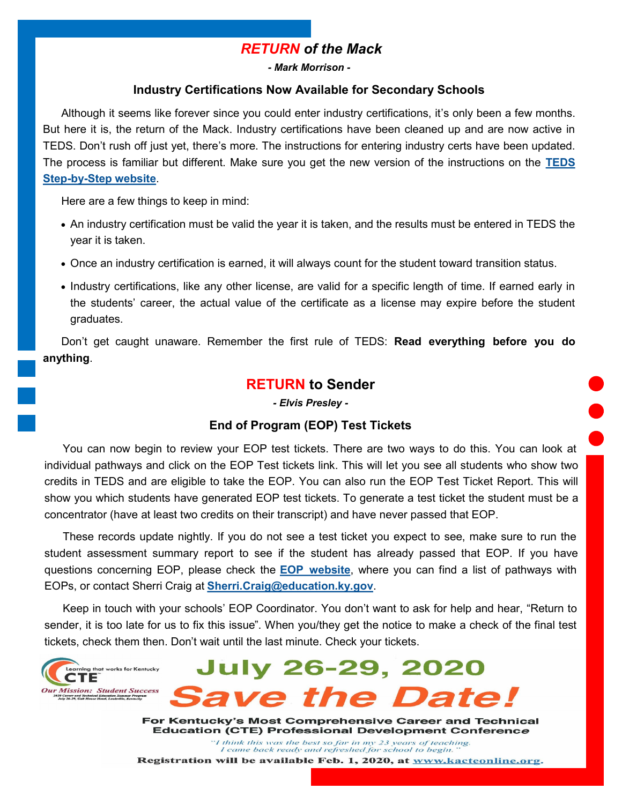# *RETURN of the Mack*

*- Mark Morrison -*

#### **Industry Certifications Now Available for Secondary Schools**

<span id="page-1-0"></span>Although it seems like forever since you could enter industry certifications, it's only been a few months. But here it is, the return of the Mack. Industry certifications have been cleaned up and are now active in TEDS. Don't rush off just yet, there's more. The instructions for entering industry certs have been updated. The process is familiar but different. Make sure you get the new version of the instructions on the **[TEDS](https://education.ky.gov/CTE/teds/Pages/TEDSStepbyStep.aspx)  Step-by-[Step website](https://education.ky.gov/CTE/teds/Pages/TEDSStepbyStep.aspx)**.

Here are a few things to keep in mind:

- An industry certification must be valid the year it is taken, and the results must be entered in TEDS the year it is taken.
- Once an industry certification is earned, it will always count for the student toward transition status.
- Industry certifications, like any other license, are valid for a specific length of time. If earned early in the students' career, the actual value of the certificate as a license may expire before the student graduates.

Don't get caught unaware. Remember the first rule of TEDS: **Read everything before you do anything**.

### **RETURN to Sender**

*- Elvis Presley -*

#### **End of Program (EOP) Test Tickets**

You can now begin to review your EOP test tickets. There are two ways to do this. You can look at individual pathways and click on the EOP Test tickets link. This will let you see all students who show two credits in TEDS and are eligible to take the EOP. You can also run the EOP Test Ticket Report. This will show you which students have generated EOP test tickets. To generate a test ticket the student must be a concentrator (have at least two credits on their transcript) and have never passed that EOP.

These records update nightly. If you do not see a test ticket you expect to see, make sure to run the student assessment summary report to see if the student has already passed that EOP. If you have questions concerning EOP, please check the **[EOP website](https://education.ky.gov/CTE/endofprog/Pages/default.aspx)**, where you can find a list of pathways with EOPs, or contact Sherri Craig at **[Sherri.Craig@education.ky.gov](mailto:Sherri.Craig@education.ky.gov?subject=EOP%20Test%20Ticket%20Questions)**.

Keep in touch with your schools' EOP Coordinator. You don't want to ask for help and hear, "Return to sender, it is too late for us to fix this issue". When you/they get the notice to make a check of the final test tickets, check them then. Don't wait until the last minute. Check your tickets.

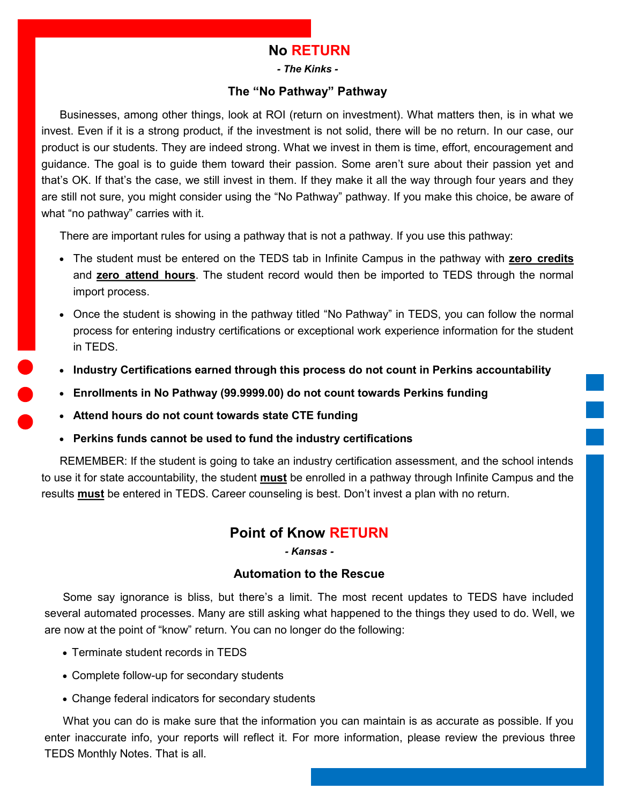### **No RETURN**

*- The Kinks -*

#### **The "No Pathway" Pathway**

<span id="page-2-0"></span>Businesses, among other things, look at ROI (return on investment). What matters then, is in what we invest. Even if it is a strong product, if the investment is not solid, there will be no return. In our case, our product is our students. They are indeed strong. What we invest in them is time, effort, encouragement and guidance. The goal is to guide them toward their passion. Some aren't sure about their passion yet and that's OK. If that's the case, we still invest in them. If they make it all the way through four years and they are still not sure, you might consider using the "No Pathway" pathway. If you make this choice, be aware of what "no pathway" carries with it.

There are important rules for using a pathway that is not a pathway. If you use this pathway:

- The student must be entered on the TEDS tab in Infinite Campus in the pathway with **zero credits**  and **zero attend hours**. The student record would then be imported to TEDS through the normal import process.
- Once the student is showing in the pathway titled "No Pathway" in TEDS, you can follow the normal process for entering industry certifications or exceptional work experience information for the student in TEDS.
- **Industry Certifications earned through this process do not count in Perkins accountability**
- **Enrollments in No Pathway (99.9999.00) do not count towards Perkins funding**
- **Attend hours do not count towards state CTE funding**
- **Perkins funds cannot be used to fund the industry certifications**

REMEMBER: If the student is going to take an industry certification assessment, and the school intends to use it for state accountability, the student **must** be enrolled in a pathway through Infinite Campus and the results **must** be entered in TEDS. Career counseling is best. Don't invest a plan with no return.

### **Point of Know RETURN**

#### *- Kansas -*

#### **Automation to the Rescue**

Some say ignorance is bliss, but there's a limit. The most recent updates to TEDS have included several automated processes. Many are still asking what happened to the things they used to do. Well, we are now at the point of "know" return. You can no longer do the following:

- Terminate student records in TEDS
- Complete follow-up for secondary students
- Change federal indicators for secondary students

What you can do is make sure that the information you can maintain is as accurate as possible. If you enter inaccurate info, your reports will reflect it. For more information, please review the previous three TEDS Monthly Notes. That is all.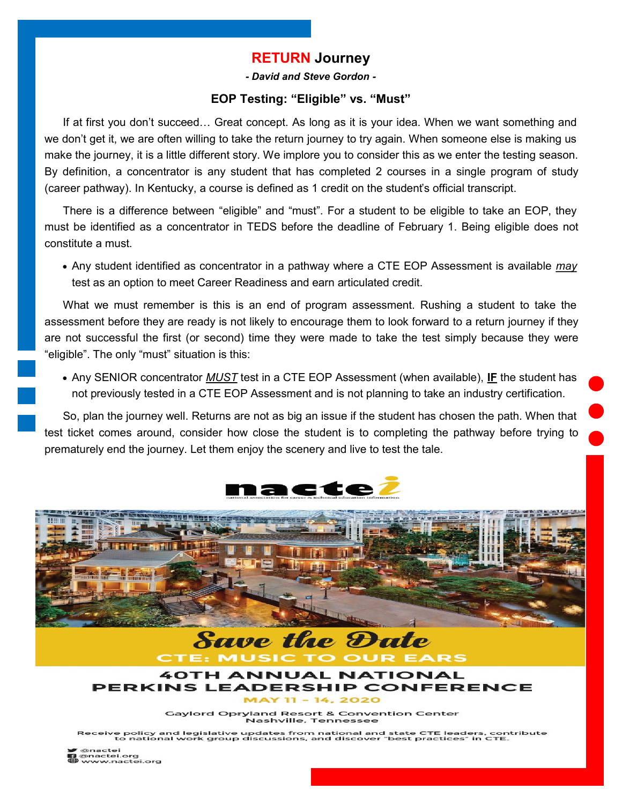### **RETURN Journey**

*- David and Steve Gordon -*

#### **EOP Testing: "Eligible" vs. "Must"**

<span id="page-3-0"></span>If at first you don't succeed… Great concept. As long as it is your idea. When we want something and we don't get it, we are often willing to take the return journey to try again. When someone else is making us make the journey, it is a little different story. We implore you to consider this as we enter the testing season. By definition, a concentrator is any student that has completed 2 courses in a single program of study (career pathway). In Kentucky, a course is defined as 1 credit on the student's official transcript.

There is a difference between "eligible" and "must". For a student to be eligible to take an EOP, they must be identified as a concentrator in TEDS before the deadline of February 1. Being eligible does not constitute a must.

• Any student identified as concentrator in a pathway where a CTE EOP Assessment is available *may*  test as an option to meet Career Readiness and earn articulated credit.

What we must remember is this is an end of program assessment. Rushing a student to take the assessment before they are ready is not likely to encourage them to look forward to a return journey if they are not successful the first (or second) time they were made to take the test simply because they were "eligible". The only "must" situation is this:

• Any SENIOR concentrator *MUST* test in a CTE EOP Assessment (when available), **IF** the student has not previously tested in a CTE EOP Assessment and is not planning to take an industry certification.

So, plan the journey well. Returns are not as big an issue if the student has chosen the path. When that test ticket comes around, consider how close the student is to completing the pathway before trying to prematurely end the journey. Let them enjoy the scenery and live to test the tale.







**Gaylord Opryland Resort & Convention Center** Nashville, Tennessee

Receive policy and legislative updates from national and state CTE leaders, contribute<br>to national work group discussions, and discover "best practices" in CTE.